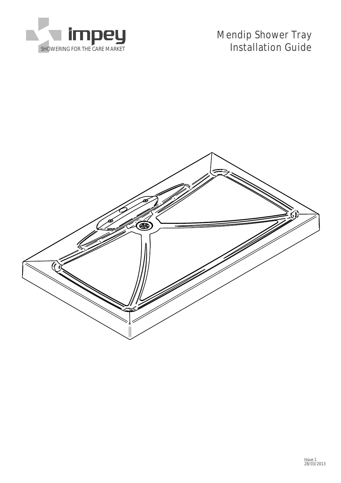

Mendip Shower Tray SHOWERING FOR THE CARE MARKET **Installation Guide** 

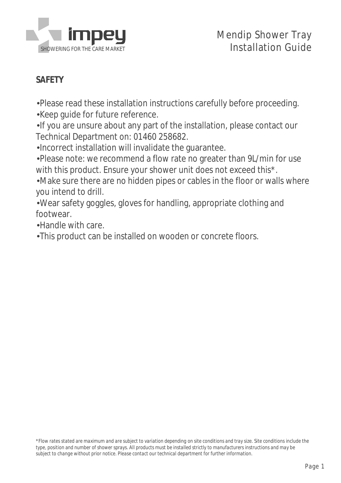

#### **SAFETY**

Please read these installation instructions carefully before proceeding. •

Keep guide for future reference. •

•If you are unsure about any part of the installation, please contact our Technical Department on: 01460 258682.

Incorrect installation will invalidate the guarantee. •

Please note: we recommend a flow rate no greater than 9L/min for use • with this product. Ensure your shower unit does not exceed this\*.

Make sure there are no hidden pipes or cables in the floor or walls where • you intend to drill.

Wear safety goggles, gloves for handling, appropriate clothing and • footwear.

Handle with care. •

This product can be installed on wooden or concrete floors. •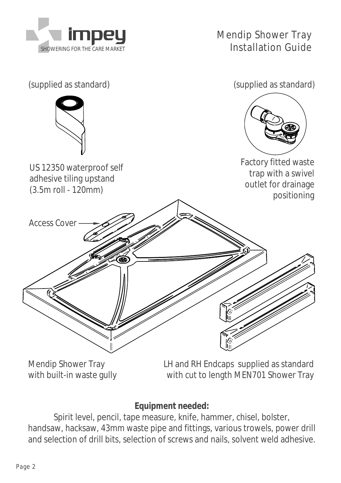



Mendip Shower Tray with built-in waste gully

LH and RH Endcaps supplied as standard with cut to length MEN701 Shower Tray

**Equipment needed:**

Spirit level, pencil, tape measure, knife, hammer, chisel, bolster, handsaw, hacksaw, 43mm waste pipe and fittings, various trowels, power drill and selection of drill bits, selection of screws and nails, solvent weld adhesive.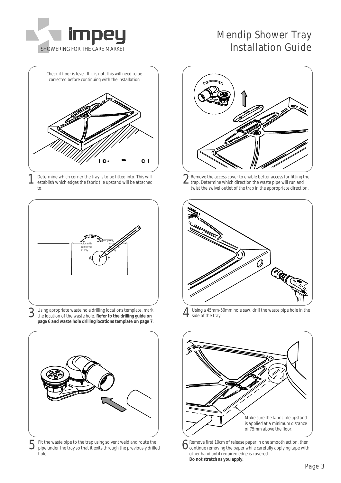

# Mendip Shower Tray SHOWERING FOR THE CARE MARKET **Installation Guide**



1 Determine which corner the tray is to be fitted into. This will establish which edges the fabric tile upstand will be attached to.



3 Using apropriate waste hole drilling locations template, mark the location of the waste hole. **Refer to the drilling guide on page 6 and waste hole drilling locations template on page 7**.



5 Fit the waste pipe to the trap using solvent weld and route the pipe under the tray so that it exits through the previously drilled hole.



2 Remove the access cover to enable better access for fitting trap. Determine which direction the waste pipe will run and Remove the access cover to enable better access for fitting the twist the swivel outlet of the trap in the appropriate direction.



4 Using a 45mm-50mm hole saw, drill the waste pipe hole in the side of the tray.



6 Remove first 10cm of release paper in one smooth action, then<br>
continue removing the paper while carefully applying tape with Remove first 10cm of release paper in one smooth action, then other hand until required edge is covered. **Do not stretch as you apply.**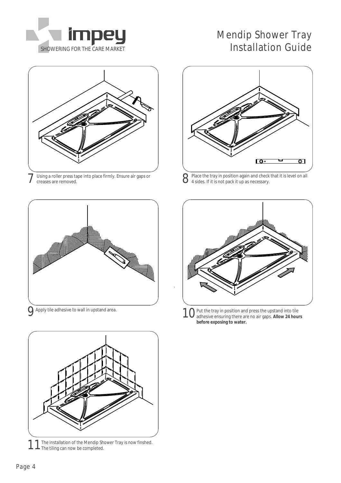

# Mendip Shower Tray SHOWERING FOR THE CARE MARKET **Installation Guide**



7 Using a roller press tape into place firmly. Ensure air gaps or  $\mathcal S$ 





11The installation of the Mendip Shower Tray is now finshed.<br>The tiling can now be completed.



Place the tray in position again and check that it is level on all<br>4 sides If it is not nock it was also 4 sides. If it is not pack it up as necessary.



Apply tile adhesive to wall in upstand area.<br>9 10 Put the tray in position and press the upstand into tile adhesive ensuring there are no air gaps. **Allow 24 hours before exposing to water.**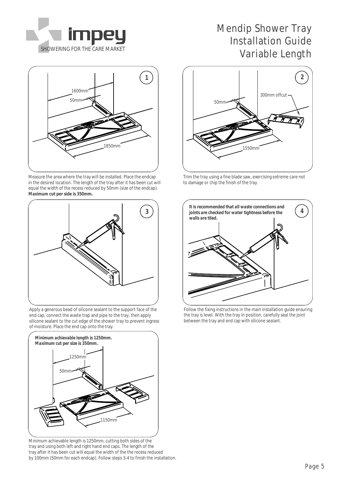

# 1600mm 1850mm 50mm

Measure the area where the tray will be installed. Place the endcap in the desired location. The length of the tray after it has been cut will equal the width of the recess reduced by 50mm (size of the endcap). **Maximum cut per side is 350mm.**



Apply a generous bead of silicone sealant to the support face of the end cap, connect the waste trap and pipe to the tray, then apply silicone sealant to the cut edge of the shower tray to prevent ingress of moisture. Place the end cap onto the tray.



Minimum achievable length is 1250mm, cutting both sides of the tray and using both left and right hand end caps. The length of the tray after it has been cut will equal the width of the the recess reduced by 100mm (50mm for each endcap). Follow steps 3-4 to finish the installation.

### Mendip Shower Tray Installation Guide SHOWERING FOR THE CARE MARKET SHOWERING FOR THE CARE MARKET



Trim the tray using a fine blade saw, exercising extreme care not to damage or chip the finish of the tray.



Follow the fixing instructions in the main installation guide ensuring the tray is level. With the tray in position, carefully seal the joint between the tray and end cap with silicone sealant.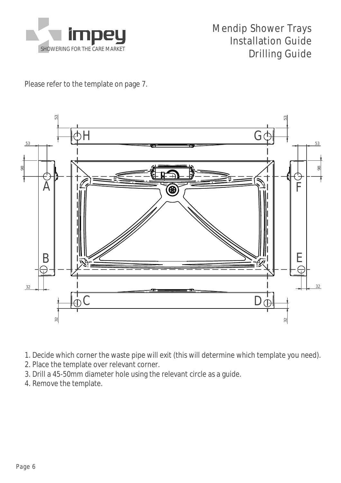

### Mendip Shower Trays Installation Guide SHOWERING FOR THE CARE MARKET **DESCRIPTION OF A SHOWERING FOR THE CARE MARKET**

Please refer to the template on page 7.



- 1. Decide which corner the waste pipe will exit (this will determine which template you need).
- 2. Place the template over relevant corner.
- 3. Drill a 45-50mm diameter hole using the relevant circle as a guide.
- 4. Remove the template.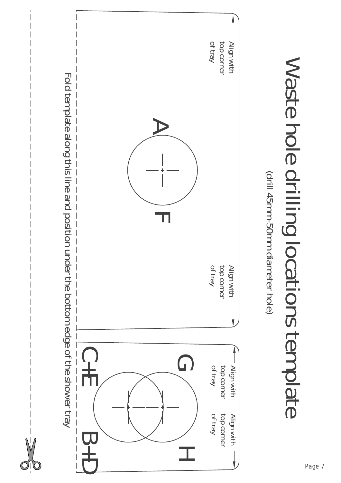

Waste

hole

drilling

locations

template